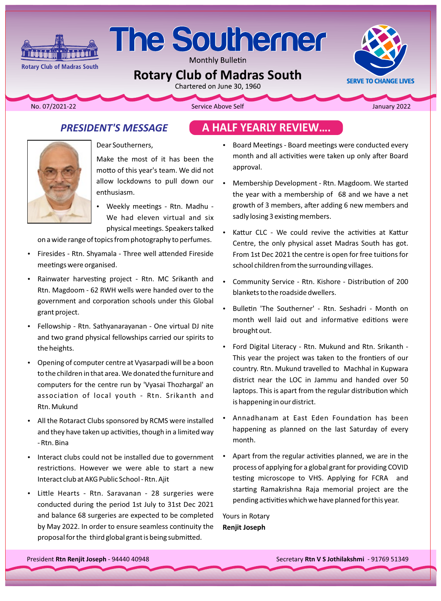

Monthly Bulletin

# **Rotary Club of Madras South**

**Rotary Club of Madras South** 

**iminê û de di k** 

The USD Service Above Self Above Self Above Self Above Self Above Self Above Self Above Self Above Self Above Self Above Self Above Self Above Self Above Self Above Self Above Self Above Self Above Self Above Self Above S

**SERVE TO CHANGE LIVES** 

## **PRESIDENT'S MESSAGE**





Dear Southerners,

Make the most of it has been the motto of this year's team. We did not allow lockdowns to pull down our enthusiasm.

Weekly meetings - Rtn. Madhu -We had eleven virtual and six physical meetings. Speakers talked

on a wide range of topics from photography to perfumes.

- Firesides Rtn. Shyamala Three well attended Fireside meetings were organised.
- Rainwater harvesting project Rtn. MC Srikanth and Rtn. Magdoom - 62 RWH wells were handed over to the government and corporation schools under this Global grant project.
- Fellowship Rtn. Sathyanarayanan One virtual DJ nite and two grand physical fellowships carried our spirits to the heights.
- Opening of computer centre at Vyasarpadi will be a boon to the children in that area. We donated the furniture and computers for the centre run by 'Vyasai Thozhargal' an association of local youth - Rtn. Srikanth and Rtn. Mukund
- All the Rotaract Clubs sponsored by RCMS were installed and they have taken up activities, though in a limited way - Rtn. Bina
- Interact clubs could not be installed due to government restrictions. However we were able to start a new Interact club at AKG Public School - Rtn. Ajit
- Little Hearts Rtn. Saravanan 28 surgeries were conducted during the period 1st July to 31st Dec 2021 and balance 68 surgeries are expected to be completed by May 2022. In order to ensure seamless continuity the proposal for the third global grant is being submitted.
- Board Meetings Board meetings were conducted every month and all activities were taken up only after Board approval.
- Membership Development Rtn. Magdoom. We started the year with a membership of 68 and we have a net growth of 3 members, after adding 6 new members and sadly losing 3 existing members.
- Kattur CLC We could revive the activities at Kattur Centre, the only physical asset Madras South has got. From 1st Dec 2021 the centre is open for free tuitions for school children from the surrounding villages.
- Community Service Rtn. Kishore Distribution of 200 blankets to the roadside dwellers.
- Bulletin 'The Southerner' Rtn. Seshadri Month on month well laid out and informative editions were brought out.
- Ford Digital Literacy Rtn. Mukund and Rtn. Srikanth -This year the project was taken to the frontiers of our country. Rtn. Mukund travelled to Machhal in Kupwara district near the LOC in Jammu and handed over 50 laptops. This is apart from the regular distribution which is happening in our district.
- Annadhanam at East Eden Foundation has been happening as planned on the last Saturday of every .month
- Apart from the regular activities planned, we are in the process of applying for a global grant for providing COVID testing microscope to VHS. Applying for FCRA and starting Ramakrishna Raja memorial project are the pending activities which we have planned for this year.

Yours in Rotary **Renjit Joseph**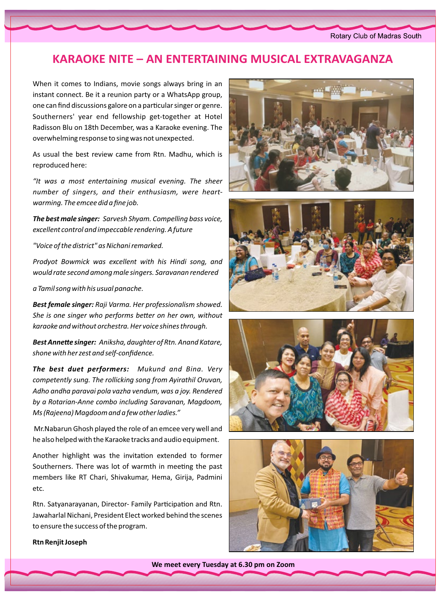#### **KARAOKE NITE – AN ENTERTAINING MUSICAL EXTRAVAGANZA**

When it comes to Indians, movie songs always bring in an instant connect. Be it a reunion party or a WhatsApp group, one can find discussions galore on a particular singer or genre. Southerners' year end fellowship get-together at Hotel Radisson Blu on 18th December, was a Karaoke evening. The overwhelming response to sing was not unexpected.

As usual the best review came from Rtn. Madhu, which is reproduced here:

"It was a most entertaining musical evening. The sheer number of singers, and their enthusiasm, were heartwarming. The emcee did a fine job.

The best male singer: Sarvesh Shyam. Compelling bass voice, excellent control and impeccable rendering. A future

"Voice of the district" as Nichani remarked.

Prodyot Bowmick was excellent with his Hindi song, and would rate second among male singers. Saravanan rendered

a Tamil song with his usual panache.

Best female singer: Raji Varma. Her professionalism showed. She is one singer who performs better on her own, without karaoke and without orchestra. Her voice shines through.

Best Annette singer: Aniksha, daughter of Rtn. Anand Katare, shone with her zest and self-confidence.

The best duet performers: Mukund and Bina. Very competently sung. The rollicking song from Ayirathil Oruvan, Adho andha paravai pola vazha vendum, was a joy. Rendered by a Rotarian-Anne combo including Saravanan, Magdoom, Ms (Rajeena) Magdoom and a few other ladies."

Mr. Nabarun Ghosh played the role of an emcee very well and he also helped with the Karaoke tracks and audio equipment.

Another highlight was the invitation extended to former Southerners. There was lot of warmth in meeting the past members like RT Chari, Shivakumar, Hema, Girija, Padmini etc.

Rtn. Satyanarayanan, Director- Family Participation and Rtn. Jawaharlal Nichani, President Elect worked behind the scenes to ensure the success of the program.









**Rtn Renjit Joseph** 

We meet every Tuesday at 6.30 pm on Zoom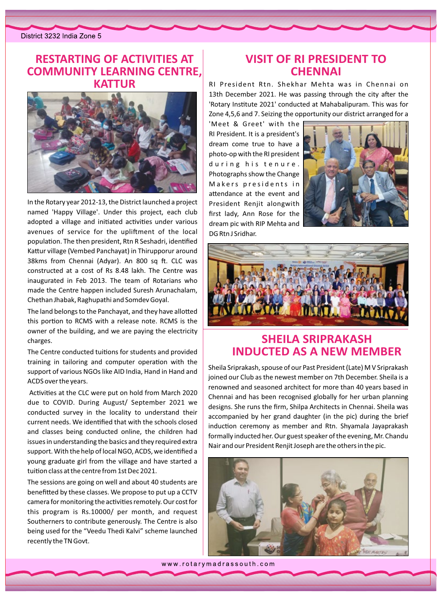District 3232 India Zone 5

#### **RESTARTING OF ACTIVITIES AT COMMUNITY LEARNING CENTRE. KATTUR**



In the Rotary year 2012-13, the District launched a project named 'Happy Village'. Under this project, each club adopted a village and initiated activities under various avenues of service for the upliftment of the local population. The then president, Rtn R Seshadri, identified Kattur village (Vembed Panchayat) in Thirupporur around 38kms from Chennai (Adyar). An 800 sq ft. CLC was constructed at a cost of Rs 8.48 lakh. The Centre was inaugurated in Feb 2013. The team of Rotarians who made the Centre happen included Suresh Arunachalam, Chethan Jhabak, Raghupathi and Somdev Goyal.

The land belongs to the Panchayat, and they have allotted this portion to RCMS with a release note. RCMS is the owner of the building, and we are paying the electricity charges.

The Centre conducted tuitions for students and provided training in tailoring and computer operation with the support of various NGOs like AID India, Hand in Hand and ACDS over the years.

Activities at the CLC were put on hold from March 2020 due to COVID. During August/ September 2021 we conducted survey in the locality to understand their current needs. We identified that with the schools closed and classes being conducted online, the children had issues in understanding the basics and they required extra support. With the help of local NGO, ACDS, we identified a young graduate girl from the village and have started a tuition class at the centre from 1st Dec 2021.

The sessions are going on well and about 40 students are benefitted by these classes. We propose to put up a CCTV camera for monitoring the activities remotely. Our cost for this program is Rs.10000/ per month, and request Southerners to contribute generously. The Centre is also being used for the "Veedu Thedi Kalvi" scheme launched recently the TN Govt.

#### **VISIT OF RI PRESIDENT TO CHENNAI**

RI President Rtn. Shekhar Mehta was in Chennai on 13th December 2021. He was passing through the city after the 'Rotary Institute 2021' conducted at Mahabalipuram. This was for Zone 4,5,6 and 7. Seizing the opportunity our district arranged for a

'Meet & Greet' with the RI President. It is a president's dream come true to have a photo-op with the RI president during his tenure. Photographs show the Change Makers presidents in attendance at the event and President Renjit alongwith first lady, Ann Rose for the dream pic with RIP Mehta and DG Rtn J Sridhar.





### **SHEILA SRIPRAKASH INDUCTED AS A NEW MEMBER**

Sheila Sriprakash, spouse of our Past President (Late) M V Sriprakash joined our Club as the newest member on 7th December. Sheila is a renowned and seasoned architect for more than 40 years based in Chennai and has been recognised globally for her urban planning designs. She runs the firm, Shilpa Architects in Chennai. Sheila was accompanied by her grand daughter (in the pic) during the brief induction ceremony as member and Rtn. Shyamala Jayaprakash formally inducted her. Our guest speaker of the evening, Mr. Chandu Nair and our President Renjit Joseph are the others in the pic.



www.rotarymadrassouth.com